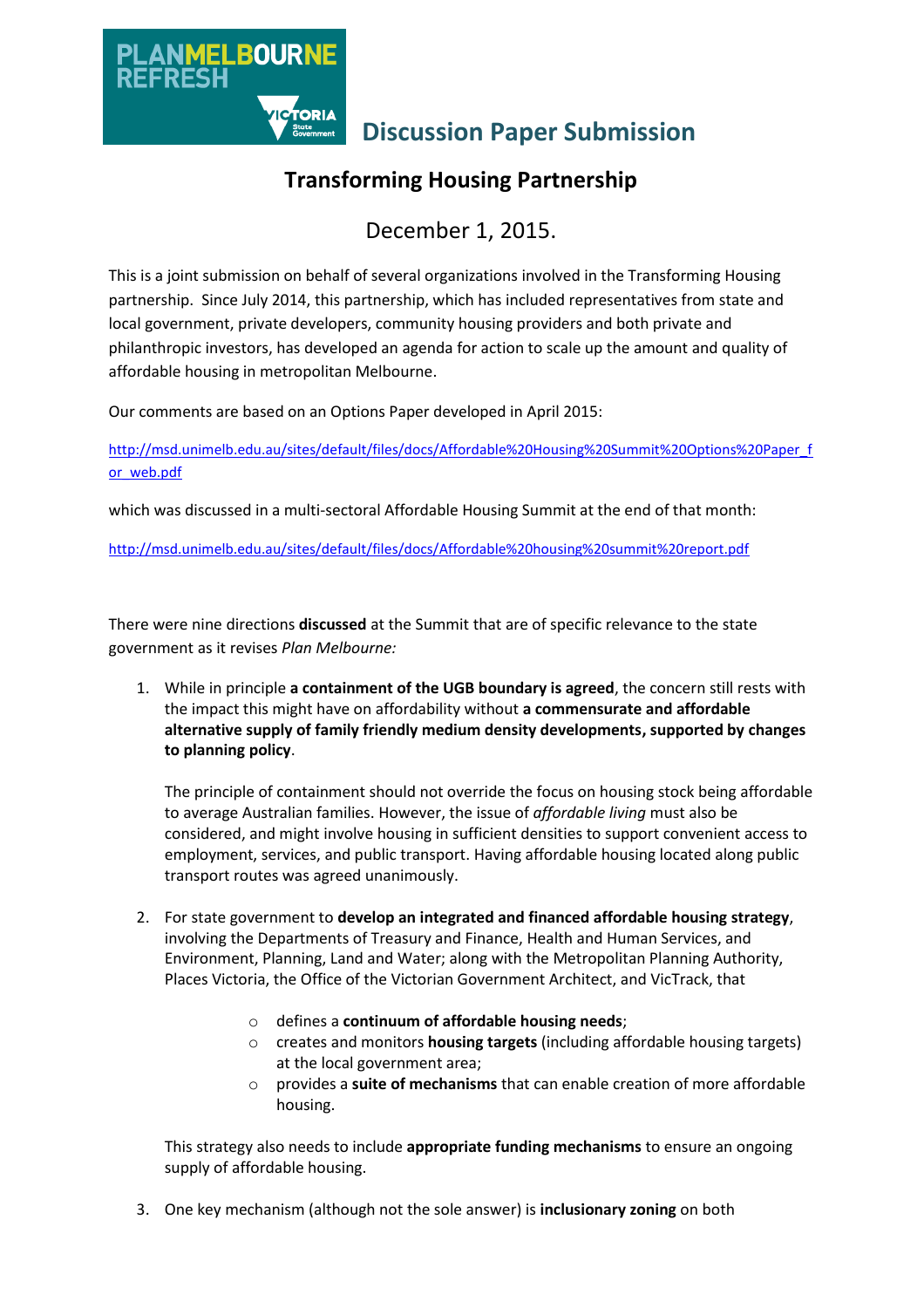

# **Transforming Housing Partnership**

# December 1, 2015.

This is a joint submission on behalf of several organizations involved in the Transforming Housing partnership. Since July 2014, this partnership, which has included representatives from state and local government, private developers, community housing providers and both private and philanthropic investors, has developed an agenda for action to scale up the amount and quality of affordable housing in metropolitan Melbourne.

Our comments are based on an Options Paper developed in April 2015:

[http://msd.unimelb.edu.au/sites/default/files/docs/Affordable%20Housing%20Summit%20Options%20Paper\\_f](http://msd.unimelb.edu.au/sites/default/files/docs/Affordable%20Housing%20Summit%20Options%20Paper_for_web.pdf) [or\\_web.pdf](http://msd.unimelb.edu.au/sites/default/files/docs/Affordable%20Housing%20Summit%20Options%20Paper_for_web.pdf)

which was discussed in a multi-sectoral Affordable Housing Summit at the end of that month:

<http://msd.unimelb.edu.au/sites/default/files/docs/Affordable%20housing%20summit%20report.pdf>

There were nine directions **discussed** at the Summit that are of specific relevance to the state government as it revises *Plan Melbourne:*

1. While in principle **a containment of the UGB boundary is agreed**, the concern still rests with the impact this might have on affordability without **a commensurate and affordable alternative supply of family friendly medium density developments, supported by changes to planning policy**.

The principle of containment should not override the focus on housing stock being affordable to average Australian families. However, the issue of *affordable living* must also be considered, and might involve housing in sufficient densities to support convenient access to employment, services, and public transport. Having affordable housing located along public transport routes was agreed unanimously.

- 2. For state government to **develop an integrated and financed affordable housing strategy**, involving the Departments of Treasury and Finance, Health and Human Services, and Environment, Planning, Land and Water; along with the Metropolitan Planning Authority, Places Victoria, the Office of the Victorian Government Architect, and VicTrack, that
	- o defines a **continuum of affordable housing needs**;
	- o creates and monitors **housing targets** (including affordable housing targets) at the local government area;
	- o provides a **suite of mechanisms** that can enable creation of more affordable housing.

This strategy also needs to include **appropriate funding mechanisms** to ensure an ongoing supply of affordable housing.

3. One key mechanism (although not the sole answer) is **inclusionary zoning** on both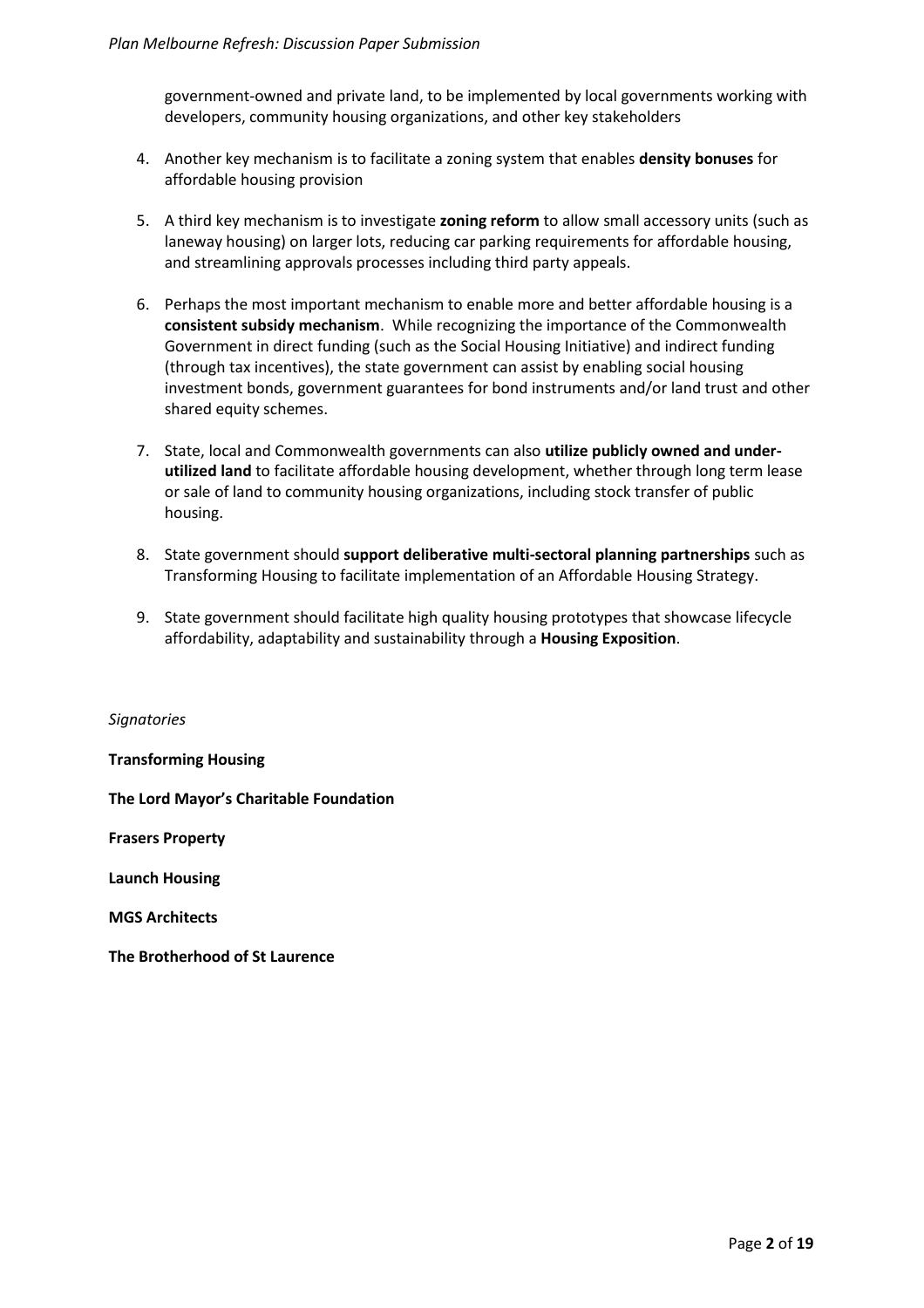government-owned and private land, to be implemented by local governments working with developers, community housing organizations, and other key stakeholders

- 4. Another key mechanism is to facilitate a zoning system that enables **density bonuses** for affordable housing provision
- 5. A third key mechanism is to investigate **zoning reform** to allow small accessory units (such as laneway housing) on larger lots, reducing car parking requirements for affordable housing, and streamlining approvals processes including third party appeals.
- 6. Perhaps the most important mechanism to enable more and better affordable housing is a **consistent subsidy mechanism**. While recognizing the importance of the Commonwealth Government in direct funding (such as the Social Housing Initiative) and indirect funding (through tax incentives), the state government can assist by enabling social housing investment bonds, government guarantees for bond instruments and/or land trust and other shared equity schemes.
- 7. State, local and Commonwealth governments can also **utilize publicly owned and underutilized land** to facilitate affordable housing development, whether through long term lease or sale of land to community housing organizations, including stock transfer of public housing.
- 8. State government should **support deliberative multi-sectoral planning partnerships** such as Transforming Housing to facilitate implementation of an Affordable Housing Strategy.
- 9. State government should facilitate high quality housing prototypes that showcase lifecycle affordability, adaptability and sustainability through a **Housing Exposition**.

#### *Signatories*

**Transforming Housing** 

**The Lord Mayor's Charitable Foundation**

**Frasers Property**

**Launch Housing**

**MGS Architects**

**The Brotherhood of St Laurence**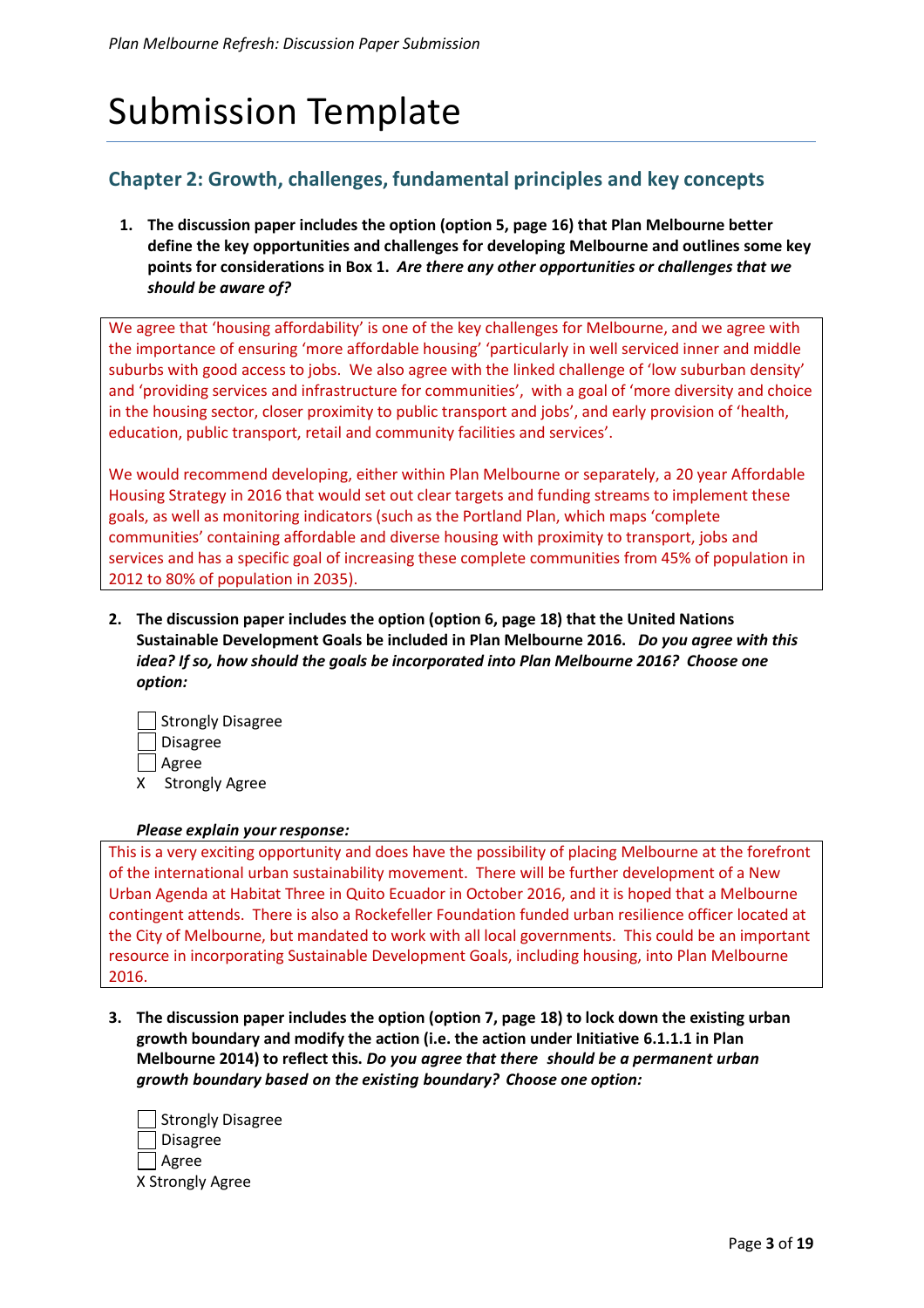# Submission Template

# **Chapter 2: Growth, challenges, fundamental principles and key concepts**

**1. The discussion paper includes the option (option 5, page 16) that Plan Melbourne better define the key opportunities and challenges for developing Melbourne and outlines some key points for considerations in Box 1.** *Are there any other opportunities or challenges that we should be aware of?*

We agree that 'housing affordability' is one of the key challenges for Melbourne, and we agree with the importance of ensuring 'more affordable housing' 'particularly in well serviced inner and middle suburbs with good access to jobs. We also agree with the linked challenge of 'low suburban density' and 'providing services and infrastructure for communities', with a goal of 'more diversity and choice in the housing sector, closer proximity to public transport and jobs', and early provision of 'health, education, public transport, retail and community facilities and services'.

We would recommend developing, either within Plan Melbourne or separately, a 20 year Affordable Housing Strategy in 2016 that would set out clear targets and funding streams to implement these goals, as well as monitoring indicators (such as the Portland Plan, which maps 'complete communities' containing affordable and diverse housing with proximity to transport, jobs and services and has a specific goal of increasing these complete communities from 45% of population in 2012 to 80% of population in 2035).

**2. The discussion paper includes the option (option 6, page 18) that the United Nations Sustainable Development Goals be included in Plan Melbourne 2016.** *Do you agree with this idea? If so, how should the goals be incorporated into Plan Melbourne 2016? Choose one option:*

|   | Strongly Disagree     |
|---|-----------------------|
|   | Disagree              |
|   | Agree                 |
| x | <b>Strongly Agree</b> |

## *Please explain your response:*

This is a very exciting opportunity and does have the possibility of placing Melbourne at the forefront of the international urban sustainability movement. There will be further development of a New Urban Agenda at Habitat Three in Quito Ecuador in October 2016, and it is hoped that a Melbourne contingent attends. There is also a Rockefeller Foundation funded urban resilience officer located at the City of Melbourne, but mandated to work with all local governments. This could be an important resource in incorporating Sustainable Development Goals, including housing, into Plan Melbourne 2016.

**3. The discussion paper includes the option (option 7, page 18) to lock down the existing urban growth boundary and modify the action (i.e. the action under Initiative 6.1.1.1 in Plan Melbourne 2014) to reflect this.** *Do you agree that there should be a permanent urban growth boundary based on the existing boundary? Choose one option:*

| Strongly Disagree |
|-------------------|
| J Disagree        |
| Agree             |
| X Strongly Agree  |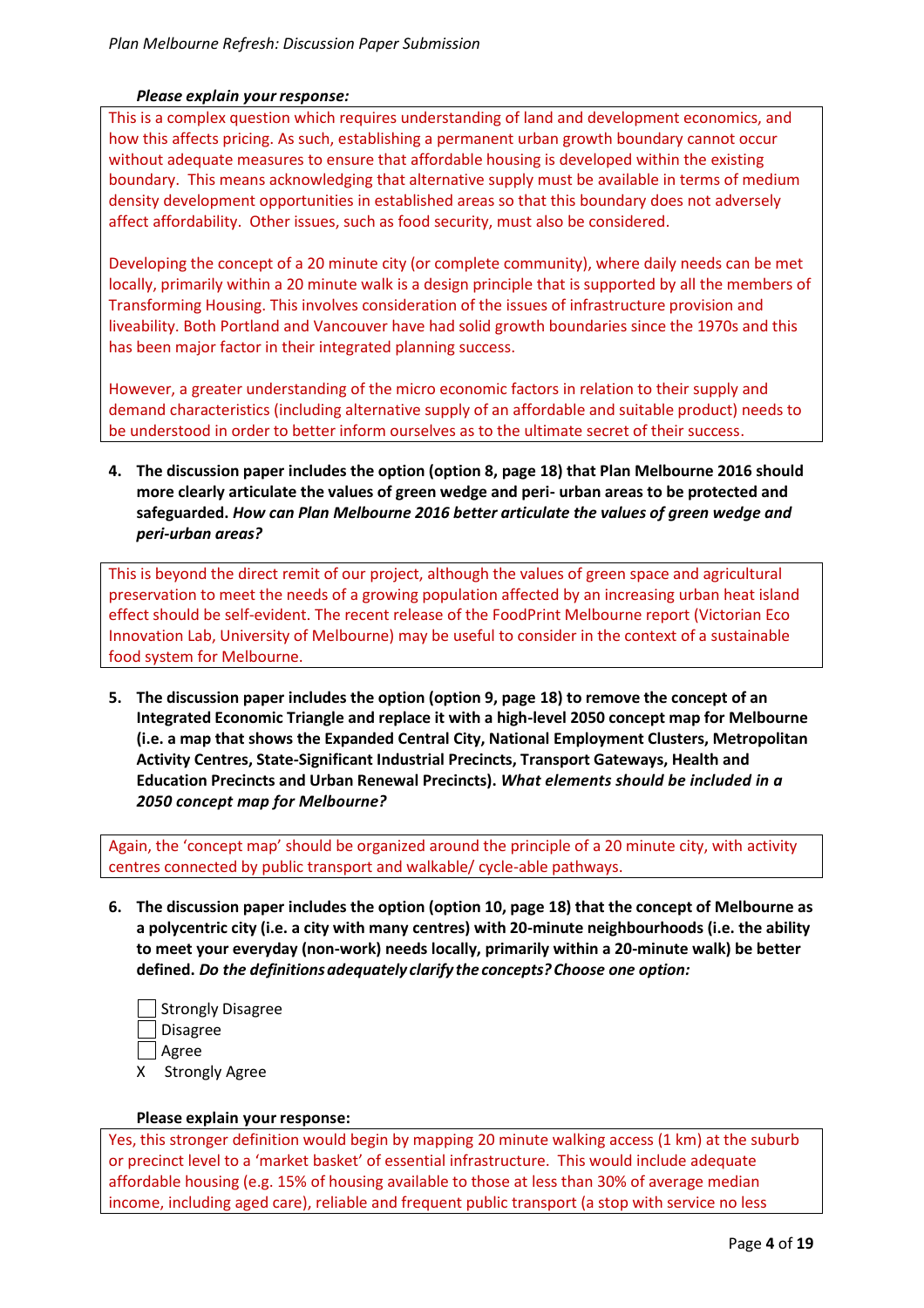## *Please explain your response:*

This is a complex question which requires understanding of land and development economics, and how this affects pricing. As such, establishing a permanent urban growth boundary cannot occur without adequate measures to ensure that affordable housing is developed within the existing boundary. This means acknowledging that alternative supply must be available in terms of medium density development opportunities in established areas so that this boundary does not adversely affect affordability. Other issues, such as food security, must also be considered.

Developing the concept of a 20 minute city (or complete community), where daily needs can be met locally, primarily within a 20 minute walk is a design principle that is supported by all the members of Transforming Housing. This involves consideration of the issues of infrastructure provision and liveability. Both Portland and Vancouver have had solid growth boundaries since the 1970s and this has been major factor in their integrated planning success.

However, a greater understanding of the micro economic factors in relation to their supply and demand characteristics (including alternative supply of an affordable and suitable product) needs to be understood in order to better inform ourselves as to the ultimate secret of their success.

**4. The discussion paper includes the option (option 8, page 18) that Plan Melbourne 2016 should more clearly articulate the values of green wedge and peri- urban areas to be protected and safeguarded.** *How can Plan Melbourne 2016 better articulate the values of green wedge and peri-urban areas?*

This is beyond the direct remit of our project, although the values of green space and agricultural preservation to meet the needs of a growing population affected by an increasing urban heat island effect should be self-evident. The recent release of the FoodPrint Melbourne report (Victorian Eco Innovation Lab, University of Melbourne) may be useful to consider in the context of a sustainable food system for Melbourne.

**5. The discussion paper includes the option (option 9, page 18) to remove the concept of an Integrated Economic Triangle and replace it with a high-level 2050 concept map for Melbourne (i.e. a map that shows the Expanded Central City, National Employment Clusters, Metropolitan Activity Centres, State-Significant Industrial Precincts, Transport Gateways, Health and Education Precincts and Urban Renewal Precincts).** *What elements should be included in a 2050 concept map for Melbourne?*

Again, the 'concept map' should be organized around the principle of a 20 minute city, with activity centres connected by public transport and walkable/ cycle-able pathways.

**6. The discussion paper includes the option (option 10, page 18) that the concept of Melbourne as a polycentric city (i.e. a city with many centres) with 20-minute neighbourhoods (i.e. the ability to meet your everyday (non-work) needs locally, primarily within a 20-minute walk) be better defined.** *Do the definitionsadequately clarify theconcepts? Choose one option:*

|   | Strongly Disagree     |
|---|-----------------------|
|   | Disagree              |
|   | Agree                 |
| x | <b>Strongly Agree</b> |

#### **Please explain your response:**

Yes, this stronger definition would begin by mapping 20 minute walking access (1 km) at the suburb or precinct level to a 'market basket' of essential infrastructure. This would include adequate affordable housing (e.g. 15% of housing available to those at less than 30% of average median income, including aged care), reliable and frequent public transport (a stop with service no less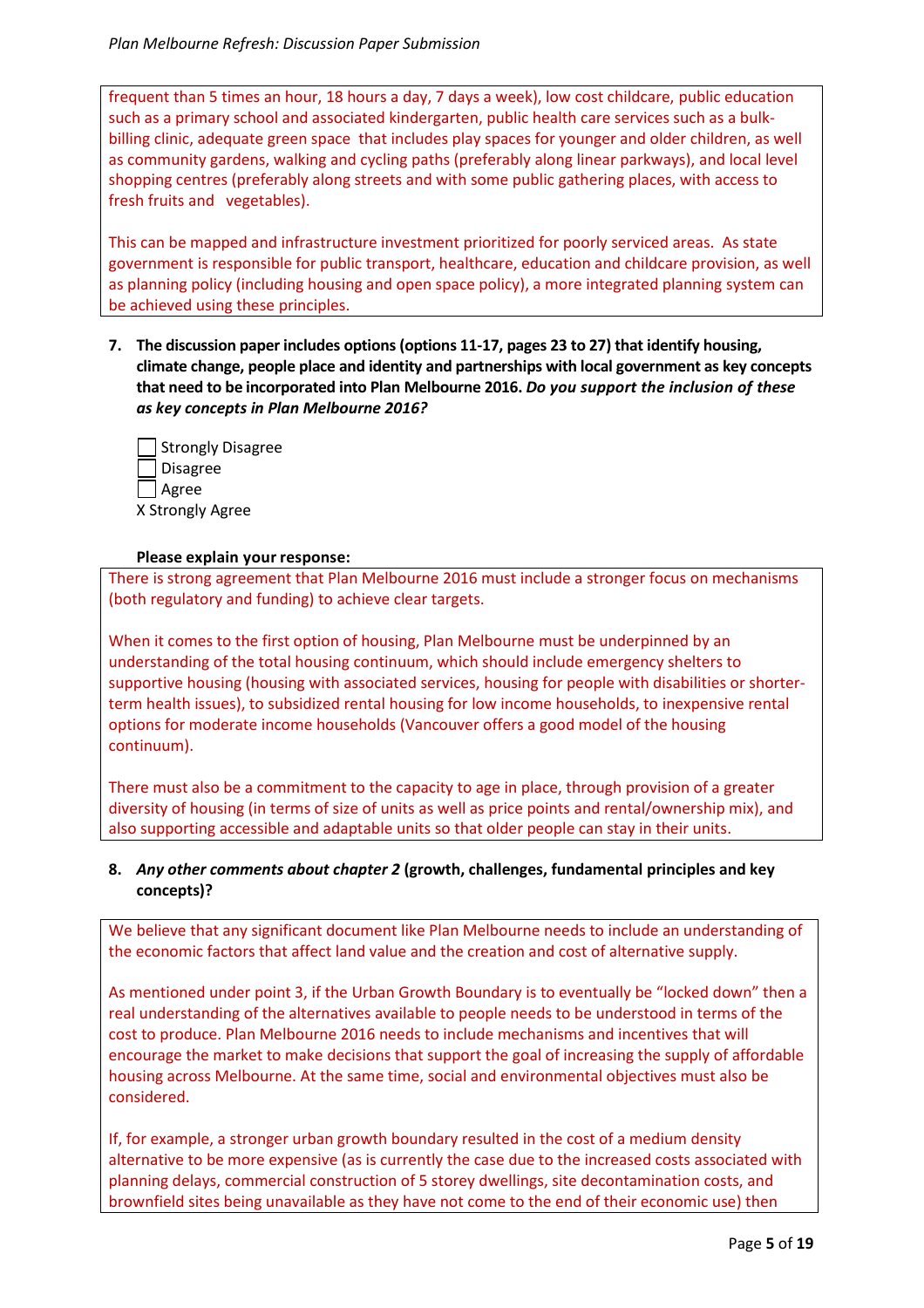frequent than 5 times an hour, 18 hours a day, 7 days a week), low cost childcare, public education such as a primary school and associated kindergarten, public health care services such as a bulkbilling clinic, adequate green space that includes play spaces for younger and older children, as well as community gardens, walking and cycling paths (preferably along linear parkways), and local level shopping centres (preferably along streets and with some public gathering places, with access to fresh fruits and vegetables).

This can be mapped and infrastructure investment prioritized for poorly serviced areas. As state government is responsible for public transport, healthcare, education and childcare provision, as well as planning policy (including housing and open space policy), a more integrated planning system can be achieved using these principles.

**7. The discussion paper includes options (options 11-17, pages 23 to 27) that identify housing, climate change, people place and identity and partnerships with local government as key concepts that need to be incorporated into Plan Melbourne 2016.** *Do you support the inclusion of these as key concepts in Plan Melbourne 2016?*

| Strongly Disagree |
|-------------------|
| Disagree          |
| $\Box$ Agree      |
| X Strongly Agree  |

#### **Please explain your response:**

There is strong agreement that Plan Melbourne 2016 must include a stronger focus on mechanisms (both regulatory and funding) to achieve clear targets.

When it comes to the first option of housing, Plan Melbourne must be underpinned by an understanding of the total housing continuum, which should include emergency shelters to supportive housing (housing with associated services, housing for people with disabilities or shorterterm health issues), to subsidized rental housing for low income households, to inexpensive rental options for moderate income households (Vancouver offers a good model of the housing continuum).

There must also be a commitment to the capacity to age in place, through provision of a greater diversity of housing (in terms of size of units as well as price points and rental/ownership mix), and also supporting accessible and adaptable units so that older people can stay in their units.

# **8.** *Any other comments about chapter 2* **(growth, challenges, fundamental principles and key concepts)?**

We believe that any significant document like Plan Melbourne needs to include an understanding of the economic factors that affect land value and the creation and cost of alternative supply.

As mentioned under point 3, if the Urban Growth Boundary is to eventually be "locked down" then a real understanding of the alternatives available to people needs to be understood in terms of the cost to produce. Plan Melbourne 2016 needs to include mechanisms and incentives that will encourage the market to make decisions that support the goal of increasing the supply of affordable housing across Melbourne. At the same time, social and environmental objectives must also be considered.

If, for example, a stronger urban growth boundary resulted in the cost of a medium density alternative to be more expensive (as is currently the case due to the increased costs associated with planning delays, commercial construction of 5 storey dwellings, site decontamination costs, and brownfield sites being unavailable as they have not come to the end of their economic use) then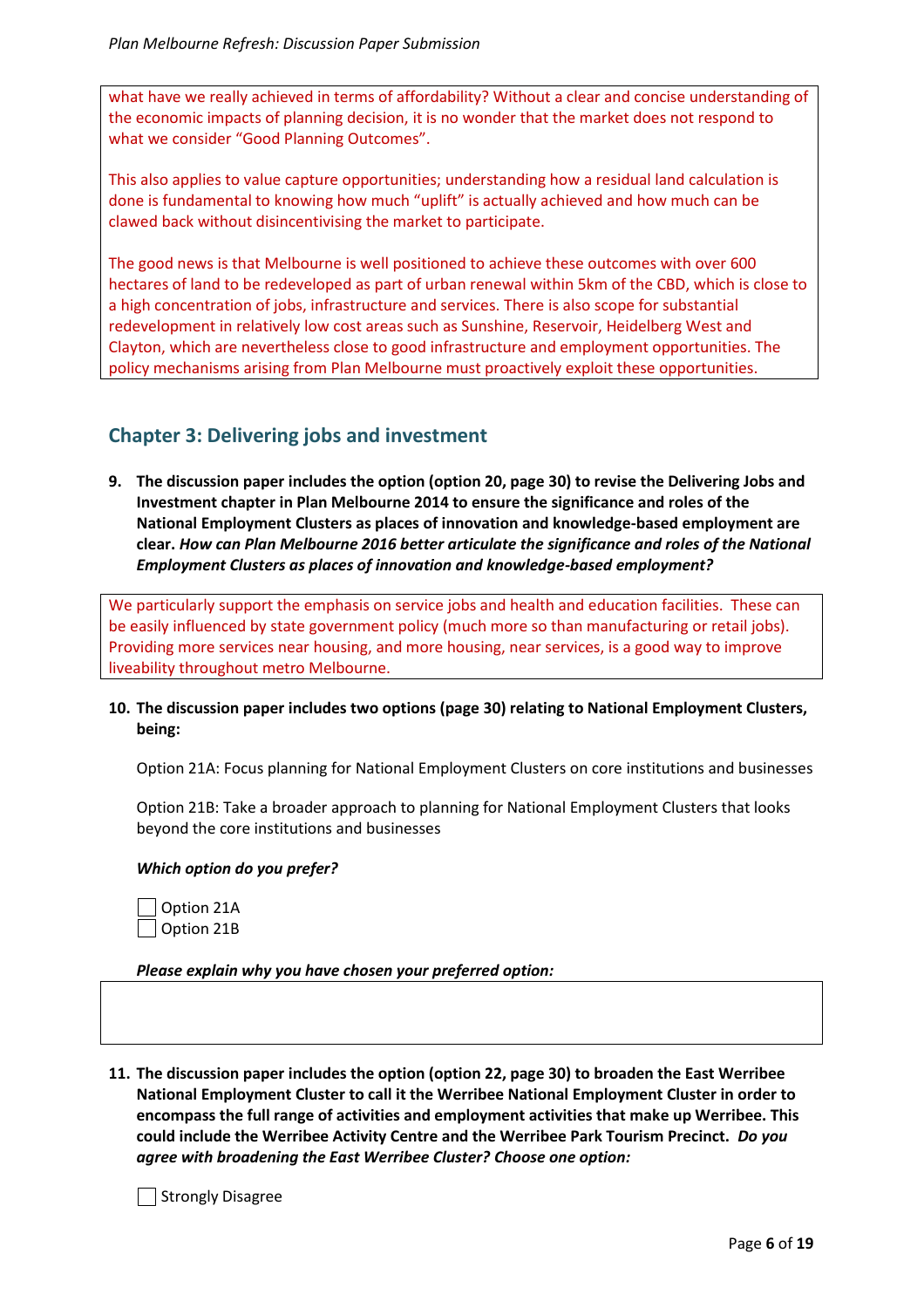what have we really achieved in terms of affordability? Without a clear and concise understanding of the economic impacts of planning decision, it is no wonder that the market does not respond to what we consider "Good Planning Outcomes".

This also applies to value capture opportunities; understanding how a residual land calculation is done is fundamental to knowing how much "uplift" is actually achieved and how much can be clawed back without disincentivising the market to participate.

The good news is that Melbourne is well positioned to achieve these outcomes with over 600 hectares of land to be redeveloped as part of urban renewal within 5km of the CBD, which is close to a high concentration of jobs, infrastructure and services. There is also scope for substantial redevelopment in relatively low cost areas such as Sunshine, Reservoir, Heidelberg West and Clayton, which are nevertheless close to good infrastructure and employment opportunities. The policy mechanisms arising from Plan Melbourne must proactively exploit these opportunities.

# **Chapter 3: Delivering jobs and investment**

**9. The discussion paper includes the option (option 20, page 30) to revise the Delivering Jobs and Investment chapter in Plan Melbourne 2014 to ensure the significance and roles of the National Employment Clusters as places of innovation and knowledge-based employment are clear.** *How can Plan Melbourne 2016 better articulate the significance and roles of the National Employment Clusters as places of innovation and knowledge-based employment?*

We particularly support the emphasis on service jobs and health and education facilities. These can be easily influenced by state government policy (much more so than manufacturing or retail jobs). Providing more services near housing, and more housing, near services, is a good way to improve liveability throughout metro Melbourne.

**10. The discussion paper includes two options (page 30) relating to National Employment Clusters, being:**

Option 21A: Focus planning for National Employment Clusters on core institutions and businesses

Option 21B: Take a broader approach to planning for National Employment Clusters that looks beyond the core institutions and businesses

# *Which option do you prefer?*

Option 21A Option 21B

*Please explain why you have chosen your preferred option:*

**11. The discussion paper includes the option (option 22, page 30) to broaden the East Werribee National Employment Cluster to call it the Werribee National Employment Cluster in order to encompass the full range of activities and employment activities that make up Werribee. This could include the Werribee Activity Centre and the Werribee Park Tourism Precinct.** *Do you agree with broadening the East Werribee Cluster? Choose one option:*

Strongly Disagree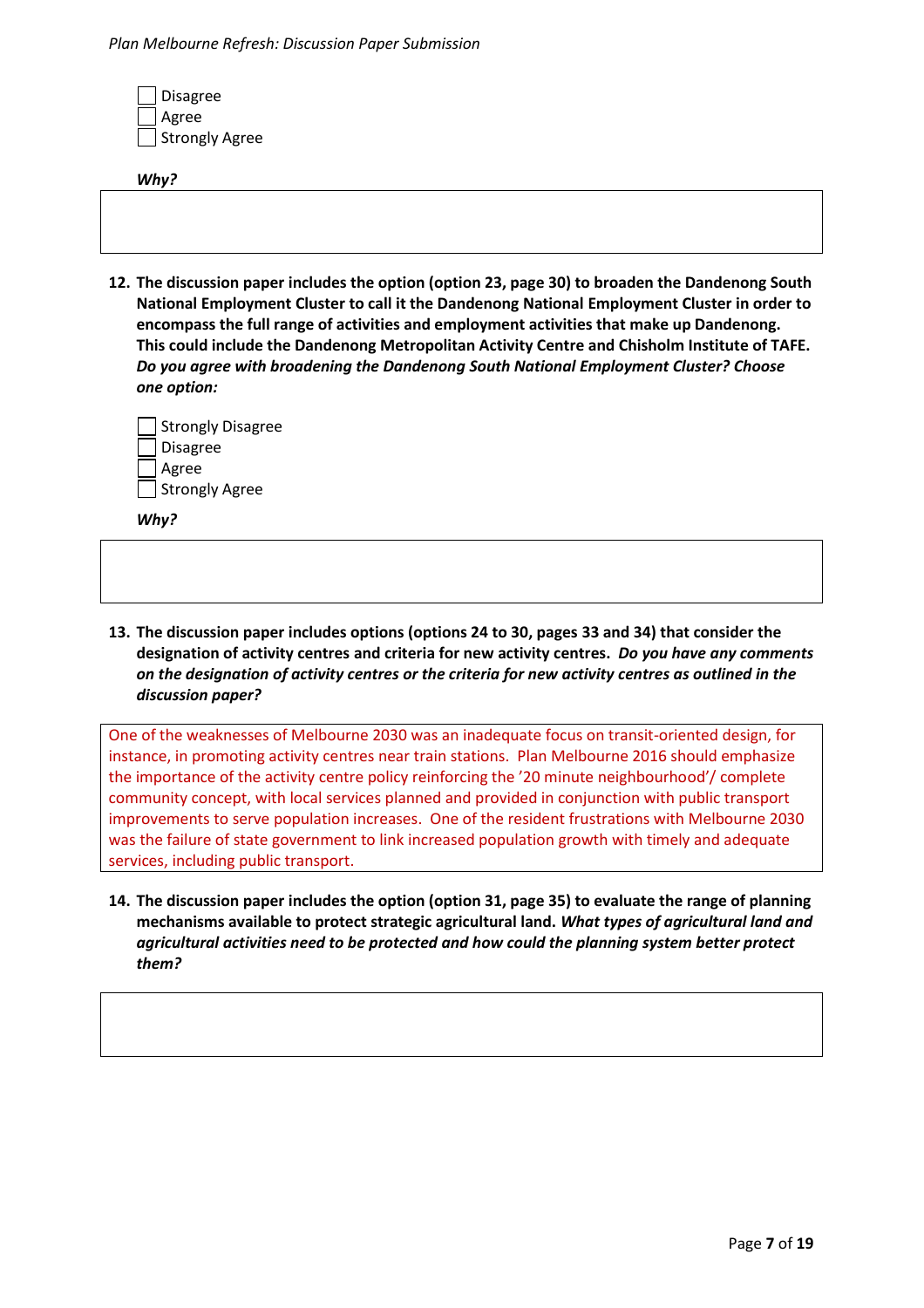| □ Disagree<br>□ Agree<br>□ Strongly Agree |  |  |  |
|-------------------------------------------|--|--|--|
| Why?                                      |  |  |  |
|                                           |  |  |  |
|                                           |  |  |  |
|                                           |  |  |  |

**12. The discussion paper includes the option (option 23, page 30) to broaden the Dandenong South National Employment Cluster to call it the Dandenong National Employment Cluster in order to encompass the full range of activities and employment activities that make up Dandenong. This could include the Dandenong Metropolitan Activity Centre and Chisholm Institute of TAFE.** *Do you agree with broadening the Dandenong South National Employment Cluster? Choose one option:*

| Strongly Disagree |
|-------------------|
| <b>Disagree</b>   |
| Agree             |
| Strongly Agree    |

*Why?*

**13. The discussion paper includes options (options 24 to 30, pages 33 and 34) that consider the designation of activity centres and criteria for new activity centres.** *Do you have any comments on the designation of activity centres or the criteria for new activity centres as outlined in the discussion paper?*

One of the weaknesses of Melbourne 2030 was an inadequate focus on transit-oriented design, for instance, in promoting activity centres near train stations. Plan Melbourne 2016 should emphasize the importance of the activity centre policy reinforcing the '20 minute neighbourhood'/ complete community concept, with local services planned and provided in conjunction with public transport improvements to serve population increases. One of the resident frustrations with Melbourne 2030 was the failure of state government to link increased population growth with timely and adequate services, including public transport.

**14. The discussion paper includes the option (option 31, page 35) to evaluate the range of planning mechanisms available to protect strategic agricultural land.** *What types of agricultural land and agricultural activities need to be protected and how could the planning system better protect them?*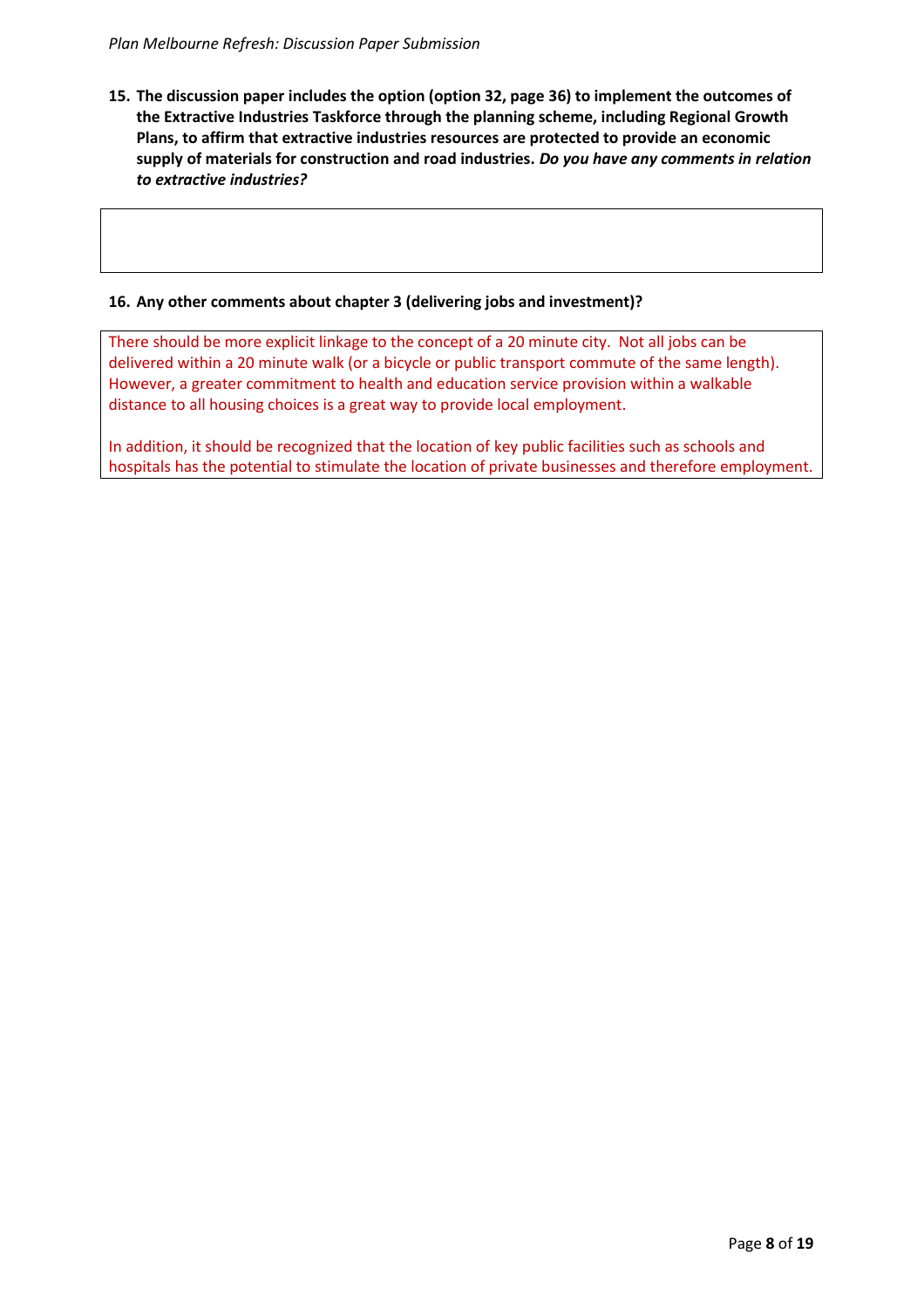**15. The discussion paper includes the option (option 32, page 36) to implement the outcomes of the Extractive Industries Taskforce through the planning scheme, including Regional Growth Plans, to affirm that extractive industries resources are protected to provide an economic supply of materials for construction and road industries.** *Do you have any comments in relation to extractive industries?* 

# **16. Any other comments about chapter 3 (delivering jobs and investment)?**

There should be more explicit linkage to the concept of a 20 minute city. Not all jobs can be delivered within a 20 minute walk (or a bicycle or public transport commute of the same length). However, a greater commitment to health and education service provision within a walkable distance to all housing choices is a great way to provide local employment.

In addition, it should be recognized that the location of key public facilities such as schools and hospitals has the potential to stimulate the location of private businesses and therefore employment.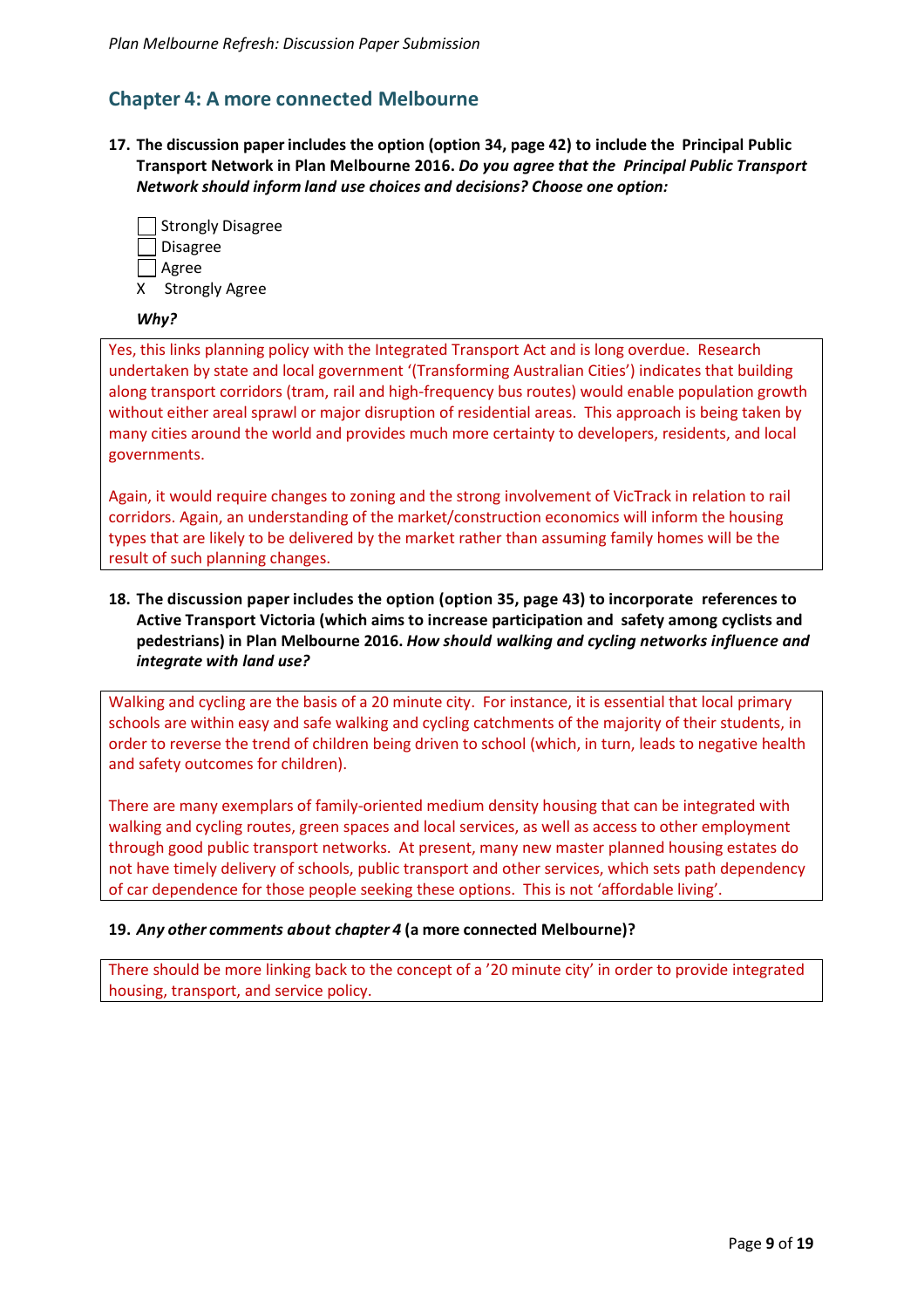# **Chapter 4: A more connected Melbourne**

**17. The discussion paper includes the option (option 34, page 42) to include the Principal Public Transport Network in Plan Melbourne 2016.** *Do you agree that the Principal Public Transport Network should inform land use choices and decisions? Choose one option:*

|    | Strongly Disagree     |
|----|-----------------------|
|    | Disagree              |
|    | ∣ <b>∆</b> Agree      |
| X. | <b>Strongly Agree</b> |

# *Why?*

Yes, this links planning policy with the Integrated Transport Act and is long overdue. Research undertaken by state and local government '(Transforming Australian Cities') indicates that building along transport corridors (tram, rail and high-frequency bus routes) would enable population growth without either areal sprawl or major disruption of residential areas. This approach is being taken by many cities around the world and provides much more certainty to developers, residents, and local governments.

Again, it would require changes to zoning and the strong involvement of VicTrack in relation to rail corridors. Again, an understanding of the market/construction economics will inform the housing types that are likely to be delivered by the market rather than assuming family homes will be the result of such planning changes.

# **18. The discussion paper includes the option (option 35, page 43) to incorporate references to Active Transport Victoria (which aims to increase participation and safety among cyclists and pedestrians) in Plan Melbourne 2016.** *How should walking and cycling networks influence and integrate with land use?*

Walking and cycling are the basis of a 20 minute city. For instance, it is essential that local primary schools are within easy and safe walking and cycling catchments of the majority of their students, in order to reverse the trend of children being driven to school (which, in turn, leads to negative health and safety outcomes for children).

There are many exemplars of family-oriented medium density housing that can be integrated with walking and cycling routes, green spaces and local services, as well as access to other employment through good public transport networks. At present, many new master planned housing estates do not have timely delivery of schools, public transport and other services, which sets path dependency of car dependence for those people seeking these options. This is not 'affordable living'.

## **19.** *Any other comments about chapter 4* **(a more connected Melbourne)?**

There should be more linking back to the concept of a '20 minute city' in order to provide integrated housing, transport, and service policy.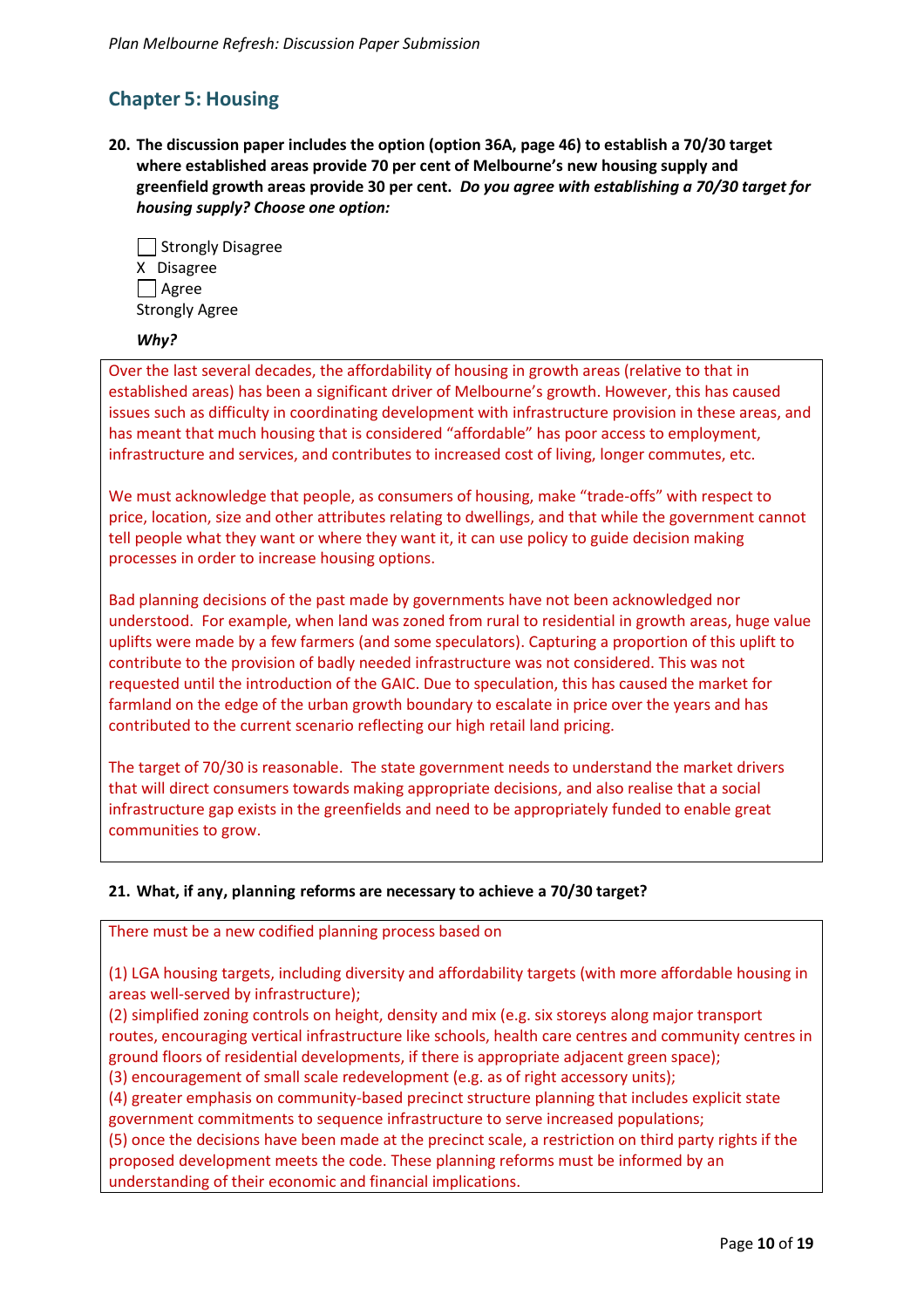# **Chapter 5: Housing**

**20. The discussion paper includes the option (option 36A, page 46) to establish a 70/30 target where established areas provide 70 per cent of Melbourne's new housing supply and greenfield growth areas provide 30 per cent.** *Do you agree with establishing a 70/30 target for housing supply? Choose one option:*

| Strongly Disagree     |
|-----------------------|
| X Disagree            |
| $\Box$ Agree          |
| <b>Strongly Agree</b> |

## *Why?*

Over the last several decades, the affordability of housing in growth areas (relative to that in established areas) has been a significant driver of Melbourne's growth. However, this has caused issues such as difficulty in coordinating development with infrastructure provision in these areas, and has meant that much housing that is considered "affordable" has poor access to employment, infrastructure and services, and contributes to increased cost of living, longer commutes, etc.

We must acknowledge that people, as consumers of housing, make "trade-offs" with respect to price, location, size and other attributes relating to dwellings, and that while the government cannot tell people what they want or where they want it, it can use policy to guide decision making processes in order to increase housing options.

Bad planning decisions of the past made by governments have not been acknowledged nor understood. For example, when land was zoned from rural to residential in growth areas, huge value uplifts were made by a few farmers (and some speculators). Capturing a proportion of this uplift to contribute to the provision of badly needed infrastructure was not considered. This was not requested until the introduction of the GAIC. Due to speculation, this has caused the market for farmland on the edge of the urban growth boundary to escalate in price over the years and has contributed to the current scenario reflecting our high retail land pricing.

The target of 70/30 is reasonable. The state government needs to understand the market drivers that will direct consumers towards making appropriate decisions, and also realise that a social infrastructure gap exists in the greenfields and need to be appropriately funded to enable great communities to grow.

## **21. What, if any, planning reforms are necessary to achieve a 70/30 target?**

There must be a new codified planning process based on

(1) LGA housing targets, including diversity and affordability targets (with more affordable housing in areas well-served by infrastructure);

(2) simplified zoning controls on height, density and mix (e.g. six storeys along major transport routes, encouraging vertical infrastructure like schools, health care centres and community centres in ground floors of residential developments, if there is appropriate adjacent green space);

(3) encouragement of small scale redevelopment (e.g. as of right accessory units);

(4) greater emphasis on community-based precinct structure planning that includes explicit state government commitments to sequence infrastructure to serve increased populations;

(5) once the decisions have been made at the precinct scale, a restriction on third party rights if the proposed development meets the code. These planning reforms must be informed by an understanding of their economic and financial implications.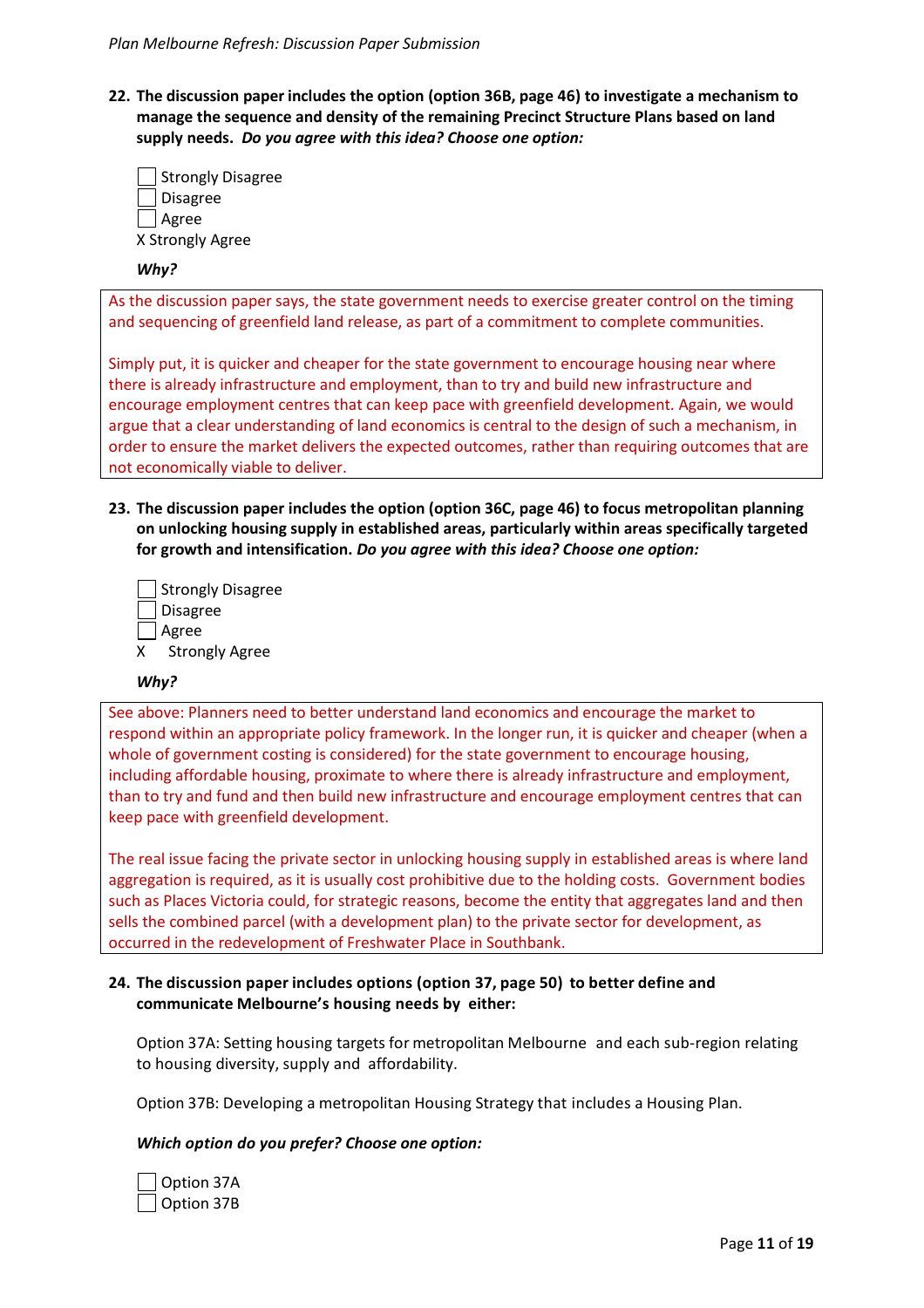**22. The discussion paper includes the option (option 36B, page 46) to investigate a mechanism to manage the sequence and density of the remaining Precinct Structure Plans based on land supply needs.** *Do you agree with this idea? Choose one option:*

| Strongly Disagree |
|-------------------|
| Disagree          |
| Agree             |
| X Strongly Agree  |

#### *Why?*

As the discussion paper says, the state government needs to exercise greater control on the timing and sequencing of greenfield land release, as part of a commitment to complete communities.

Simply put, it is quicker and cheaper for the state government to encourage housing near where there is already infrastructure and employment, than to try and build new infrastructure and encourage employment centres that can keep pace with greenfield development. Again, we would argue that a clear understanding of land economics is central to the design of such a mechanism, in order to ensure the market delivers the expected outcomes, rather than requiring outcomes that are not economically viable to deliver.

**23. The discussion paper includes the option (option 36C, page 46) to focus metropolitan planning on unlocking housing supply in established areas, particularly within areas specifically targeted for growth and intensification.** *Do you agree with this idea? Choose one option:*

|   | Strongly Disagree     |
|---|-----------------------|
|   | Disagree              |
|   | Agree                 |
| x | <b>Strongly Agree</b> |

#### *Why?*

See above: Planners need to better understand land economics and encourage the market to respond within an appropriate policy framework. In the longer run, it is quicker and cheaper (when a whole of government costing is considered) for the state government to encourage housing, including affordable housing, proximate to where there is already infrastructure and employment, than to try and fund and then build new infrastructure and encourage employment centres that can keep pace with greenfield development.

The real issue facing the private sector in unlocking housing supply in established areas is where land aggregation is required, as it is usually cost prohibitive due to the holding costs. Government bodies such as Places Victoria could, for strategic reasons, become the entity that aggregates land and then sells the combined parcel (with a development plan) to the private sector for development, as occurred in the redevelopment of Freshwater Place in Southbank.

#### **24. The discussion paper includes options (option 37, page 50) to better define and communicate Melbourne's housing needs by either:**

Option 37A: Setting housing targets for metropolitan Melbourne and each sub-region relating to housing diversity, supply and affordability.

Option 37B: Developing a metropolitan Housing Strategy that includes a Housing Plan.

#### *Which option do you prefer? Choose one option:*

| Option 37A |  |
|------------|--|
| Option 37B |  |

Page **11** of **19**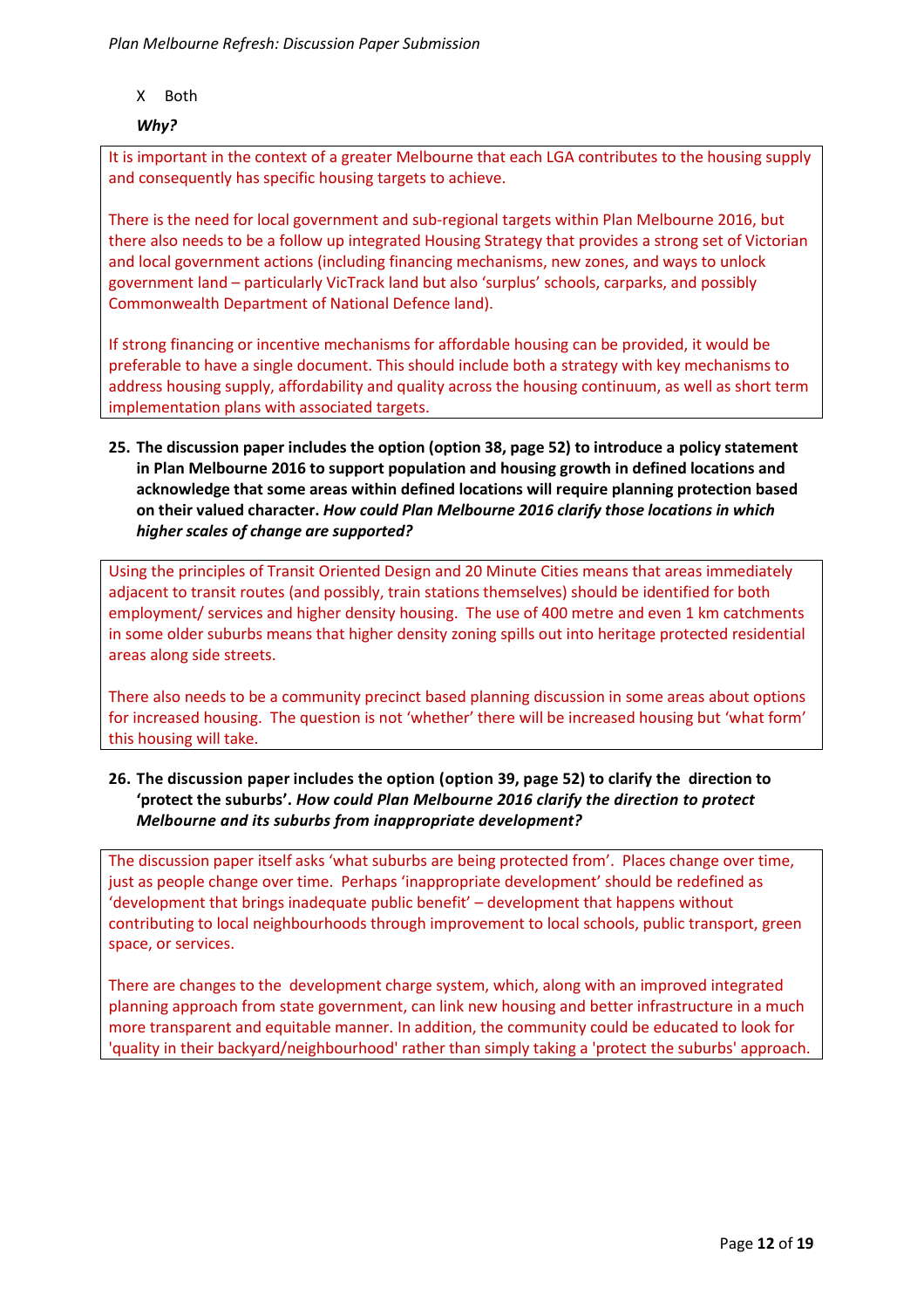X Both

# *Why?*

It is important in the context of a greater Melbourne that each LGA contributes to the housing supply and consequently has specific housing targets to achieve.

There is the need for local government and sub-regional targets within Plan Melbourne 2016, but there also needs to be a follow up integrated Housing Strategy that provides a strong set of Victorian and local government actions (including financing mechanisms, new zones, and ways to unlock government land – particularly VicTrack land but also 'surplus' schools, carparks, and possibly Commonwealth Department of National Defence land).

If strong financing or incentive mechanisms for affordable housing can be provided, it would be preferable to have a single document. This should include both a strategy with key mechanisms to address housing supply, affordability and quality across the housing continuum, as well as short term implementation plans with associated targets.

# **25. The discussion paper includes the option (option 38, page 52) to introduce a policy statement in Plan Melbourne 2016 to support population and housing growth in defined locations and acknowledge that some areas within defined locations will require planning protection based on their valued character.** *How could Plan Melbourne 2016 clarify those locations in which higher scales of change are supported?*

Using the principles of Transit Oriented Design and 20 Minute Cities means that areas immediately adjacent to transit routes (and possibly, train stations themselves) should be identified for both employment/ services and higher density housing. The use of 400 metre and even 1 km catchments in some older suburbs means that higher density zoning spills out into heritage protected residential areas along side streets.

There also needs to be a community precinct based planning discussion in some areas about options for increased housing. The question is not 'whether' there will be increased housing but 'what form' this housing will take.

# **26. The discussion paper includes the option (option 39, page 52) to clarify the direction to 'protect the suburbs'.** *How could Plan Melbourne 2016 clarify the direction to protect Melbourne and its suburbs from inappropriate development?*

The discussion paper itself asks 'what suburbs are being protected from'. Places change over time, just as people change over time. Perhaps 'inappropriate development' should be redefined as 'development that brings inadequate public benefit' – development that happens without contributing to local neighbourhoods through improvement to local schools, public transport, green space, or services.

There are changes to the development charge system, which, along with an improved integrated planning approach from state government, can link new housing and better infrastructure in a much more transparent and equitable manner. In addition, the community could be educated to look for 'quality in their backyard/neighbourhood' rather than simply taking a 'protect the suburbs' approach.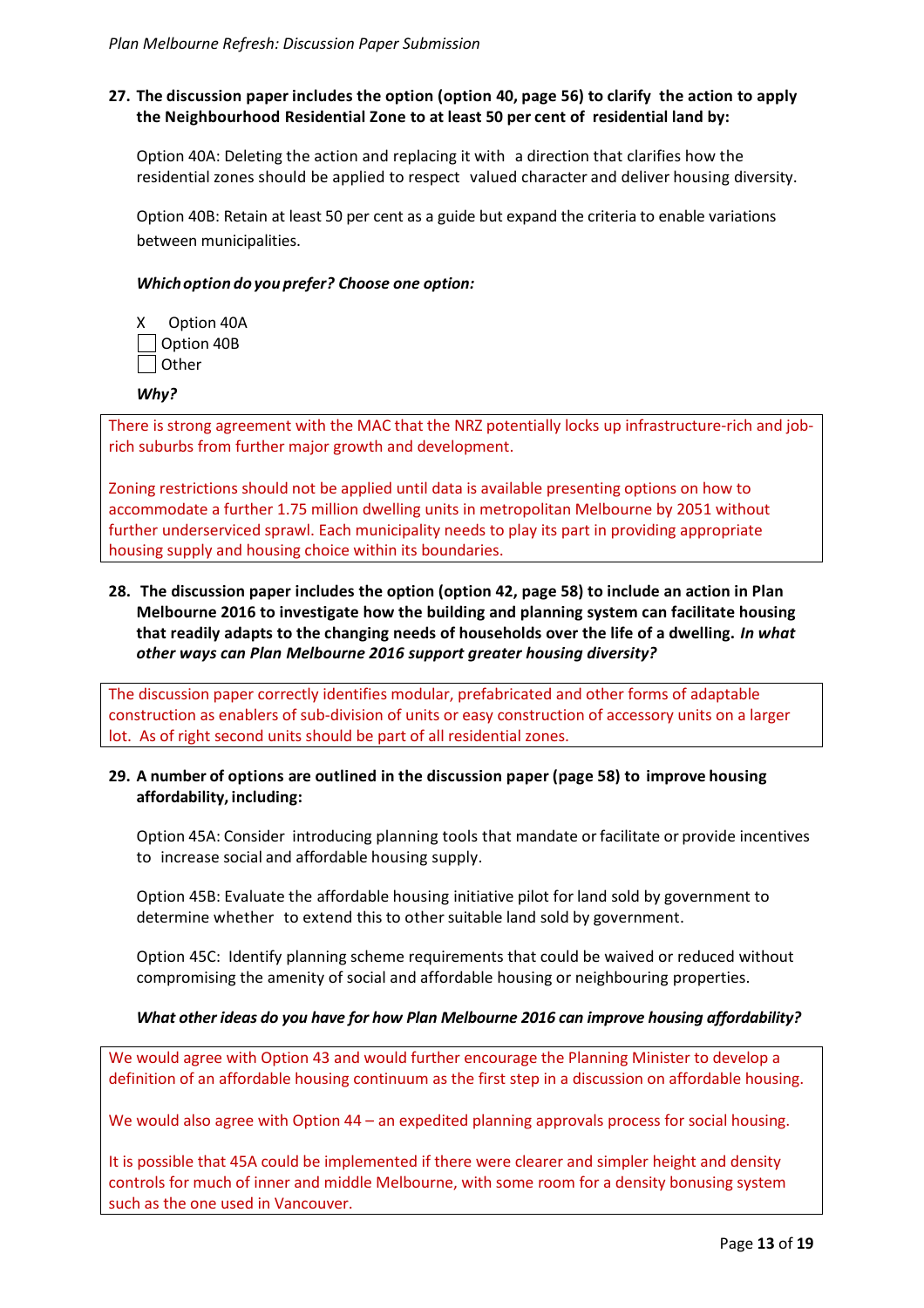# **27. The discussion paper includes the option (option 40, page 56) to clarify the action to apply the Neighbourhood Residential Zone to at least 50 per cent of residential land by:**

Option 40A: Deleting the action and replacing it with a direction that clarifies how the residential zones should be applied to respect valued character and deliver housing diversity.

Option 40B: Retain at least 50 per cent as a guide but expand the criteria to enable variations between municipalities.

#### *Whichoption do you prefer? Choose one option:*

X Option 40A Option 40B **Other** 

*Why?*

There is strong agreement with the MAC that the NRZ potentially locks up infrastructure-rich and jobrich suburbs from further major growth and development.

Zoning restrictions should not be applied until data is available presenting options on how to accommodate a further 1.75 million dwelling units in metropolitan Melbourne by 2051 without further underserviced sprawl. Each municipality needs to play its part in providing appropriate housing supply and housing choice within its boundaries.

# **28. The discussion paper includes the option (option 42, page 58) to include an action in Plan Melbourne 2016 to investigate how the building and planning system can facilitate housing that readily adapts to the changing needs of households over the life of a dwelling.** *In what other ways can Plan Melbourne 2016 support greater housing diversity?*

The discussion paper correctly identifies modular, prefabricated and other forms of adaptable construction as enablers of sub-division of units or easy construction of accessory units on a larger lot. As of right second units should be part of all residential zones.

# **29. A number of options are outlined in the discussion paper (page 58) to improve housing affordability, including:**

Option 45A: Consider introducing planning tools that mandate or facilitate or provide incentives to increase social and affordable housing supply.

Option 45B: Evaluate the affordable housing initiative pilot for land sold by government to determine whether to extend this to other suitable land sold by government.

Option 45C: Identify planning scheme requirements that could be waived or reduced without compromising the amenity of social and affordable housing or neighbouring properties.

## *What other ideas do you have for how Plan Melbourne 2016 can improve housing affordability?*

We would agree with Option 43 and would further encourage the Planning Minister to develop a definition of an affordable housing continuum as the first step in a discussion on affordable housing.

We would also agree with Option 44 – an expedited planning approvals process for social housing.

It is possible that 45A could be implemented if there were clearer and simpler height and density controls for much of inner and middle Melbourne, with some room for a density bonusing system such as the one used in Vancouver.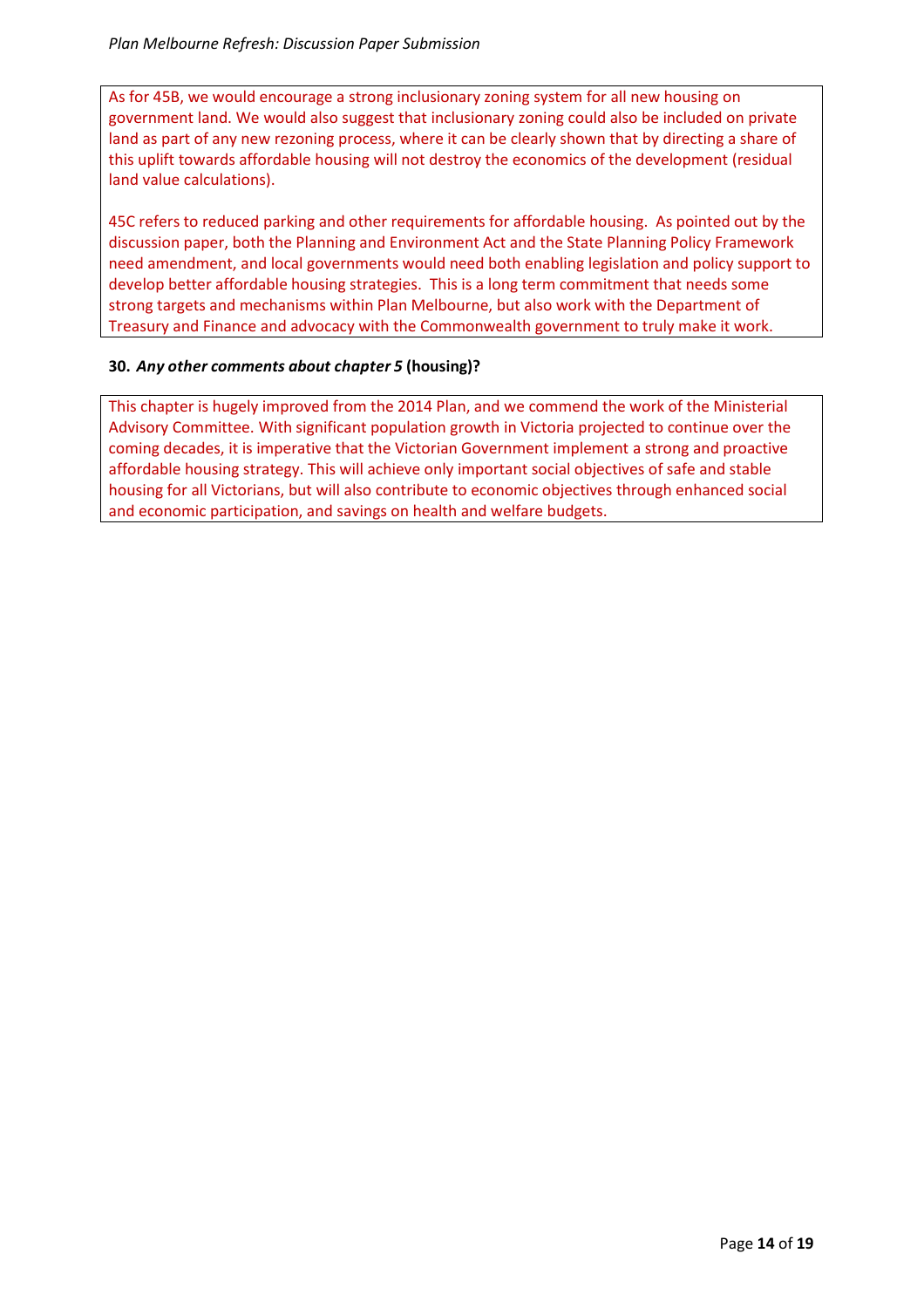As for 45B, we would encourage a strong inclusionary zoning system for all new housing on government land. We would also suggest that inclusionary zoning could also be included on private land as part of any new rezoning process, where it can be clearly shown that by directing a share of this uplift towards affordable housing will not destroy the economics of the development (residual land value calculations).

45C refers to reduced parking and other requirements for affordable housing. As pointed out by the discussion paper, both the Planning and Environment Act and the State Planning Policy Framework need amendment, and local governments would need both enabling legislation and policy support to develop better affordable housing strategies. This is a long term commitment that needs some strong targets and mechanisms within Plan Melbourne, but also work with the Department of Treasury and Finance and advocacy with the Commonwealth government to truly make it work.

# **30.** *Any other comments about chapter 5* **(housing)?**

This chapter is hugely improved from the 2014 Plan, and we commend the work of the Ministerial Advisory Committee. With significant population growth in Victoria projected to continue over the coming decades, it is imperative that the Victorian Government implement a strong and proactive affordable housing strategy. This will achieve only important social objectives of safe and stable housing for all Victorians, but will also contribute to economic objectives through enhanced social and economic participation, and savings on health and welfare budgets.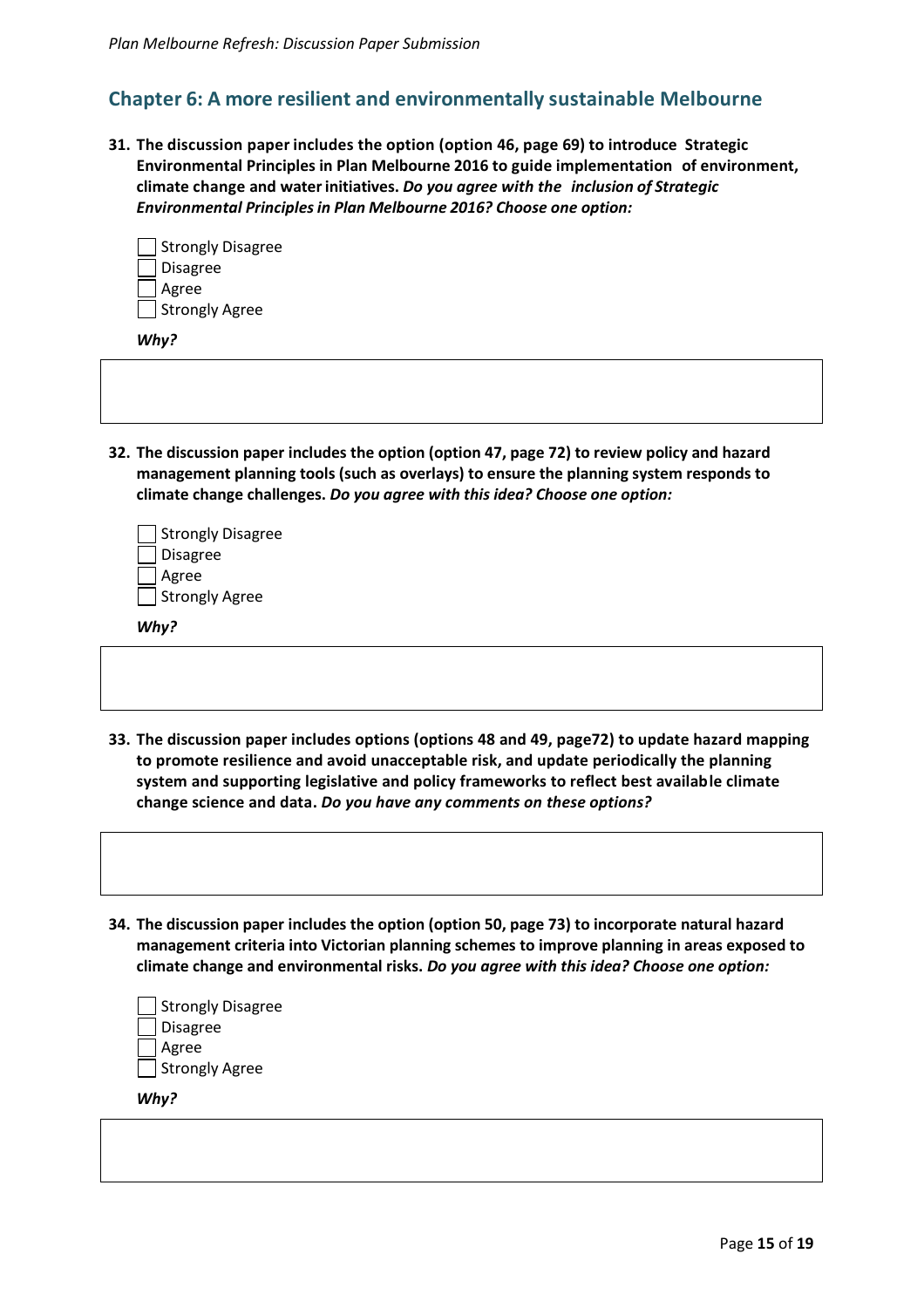# **Chapter 6: A more resilient and environmentally sustainable Melbourne**

**31. The discussion paper includes the option (option 46, page 69) to introduce Strategic Environmental Principles in Plan Melbourne 2016 to guide implementation of environment, climate change and waterinitiatives.** *Do you agree with the inclusion of Strategic Environmental Principlesin Plan Melbourne 2016? Choose one option:*

| Strongly Disagree |
|-------------------|
| <b>Disagree</b>   |
| Agree             |
| Strongly Agree    |

*Why?*

**32. The discussion paper includes the option (option 47, page 72) to review policy and hazard management planning tools (such as overlays) to ensure the planning system responds to climate change challenges.** *Do you agree with this idea? Choose one option:*

| Strongly Disagree |
|-------------------|
| Disagree          |
| Agree             |
| Strongly Agree    |

*Why?*

- **33. The discussion paper includes options (options 48 and 49, page72) to update hazard mapping to promote resilience and avoid unacceptable risk, and update periodically the planning system and supporting legislative and policy frameworks to reflect best available climate change science and data.** *Do you have any comments on these options?*
- **34. The discussion paper includes the option (option 50, page 73) to incorporate natural hazard management criteria into Victorian planning schemes to improve planning in areas exposed to climate change and environmental risks.** *Do you agree with this idea? Choose one option:*

| Strongly Disagree |
|-------------------|
| Disagree          |
| Agree             |
| Strongly Agree    |
|                   |

*Why?*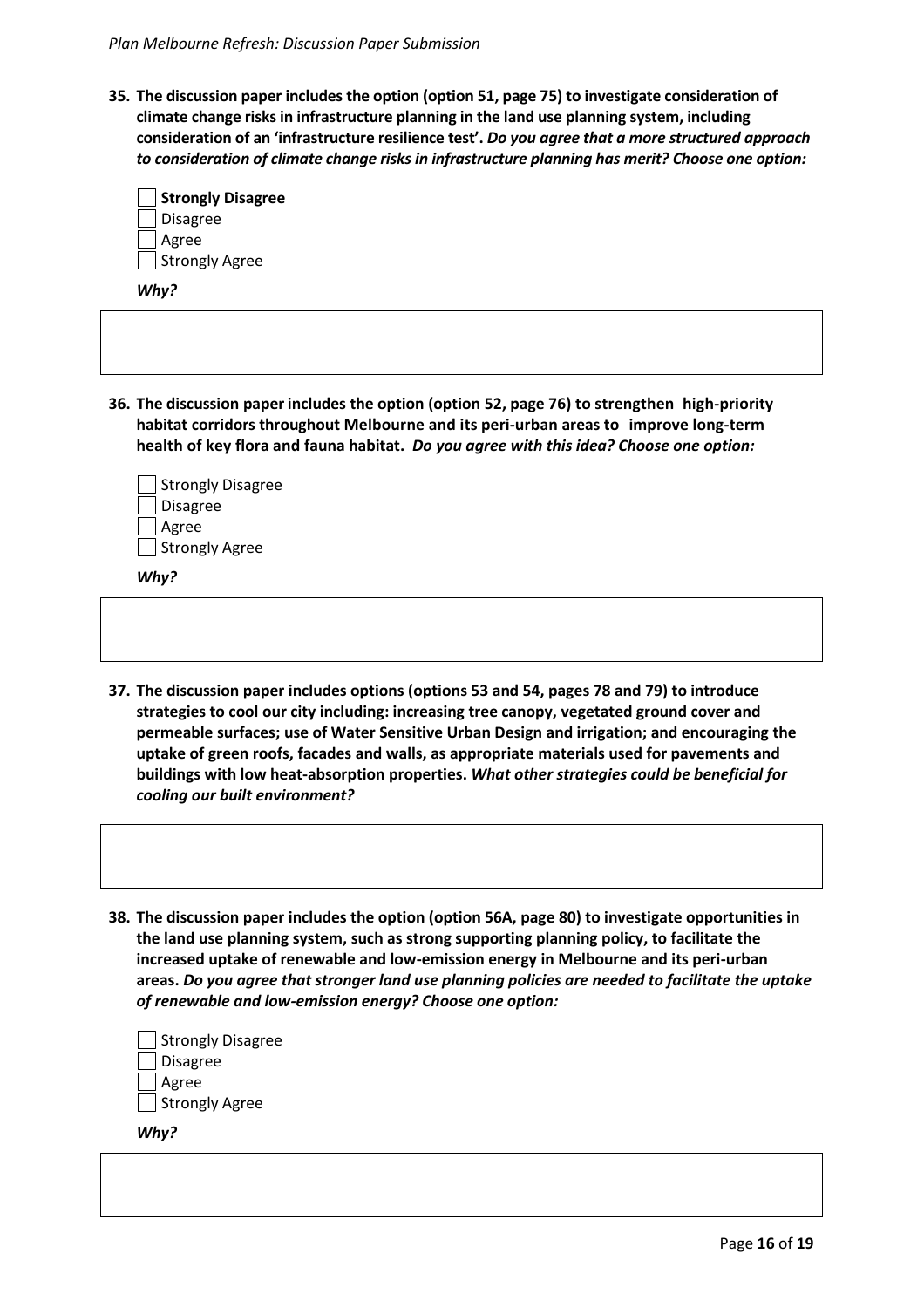**35. The discussion paper includes the option (option 51, page 75) to investigate consideration of climate change risks in infrastructure planning in the land use planning system, including consideration of an 'infrastructure resilience test'.** *Do you agree that a more structured approach to consideration of climate change risks in infrastructure planning has merit? Choose one option:*

| Strongly Disagree |  |
|-------------------|--|
| Disagree          |  |
| Agree             |  |
| Strongly Agree    |  |

*Why?*

**36. The discussion paper includes the option (option 52, page 76) to strengthen high-priority habitat corridors throughout Melbourne and its peri-urban areas to improve long-term health of key flora and fauna habitat.** *Do you agree with this idea? Choose one option:*

| Strongly Disagree |
|-------------------|
| <b>Disagree</b>   |
| Agree             |
| Strongly Agree    |

*Why?*

- **37. The discussion paper includes options (options 53 and 54, pages 78 and 79) to introduce strategies to cool our city including: increasing tree canopy, vegetated ground cover and permeable surfaces; use of Water Sensitive Urban Design and irrigation; and encouraging the uptake of green roofs, facades and walls, as appropriate materials used for pavements and buildings with low heat-absorption properties.** *What other strategies could be beneficial for cooling our built environment?*
- **38. The discussion paper includes the option (option 56A, page 80) to investigate opportunities in the land use planning system, such as strong supporting planning policy, to facilitate the increased uptake of renewable and low-emission energy in Melbourne and its peri-urban areas.** *Do you agree that stronger land use planning policies are needed to facilitate the uptake of renewable and low-emission energy? Choose one option:*

| Strongly Disagree |
|-------------------|
| Disagree          |
| Agree             |
| Strongly Agree    |

*Why?*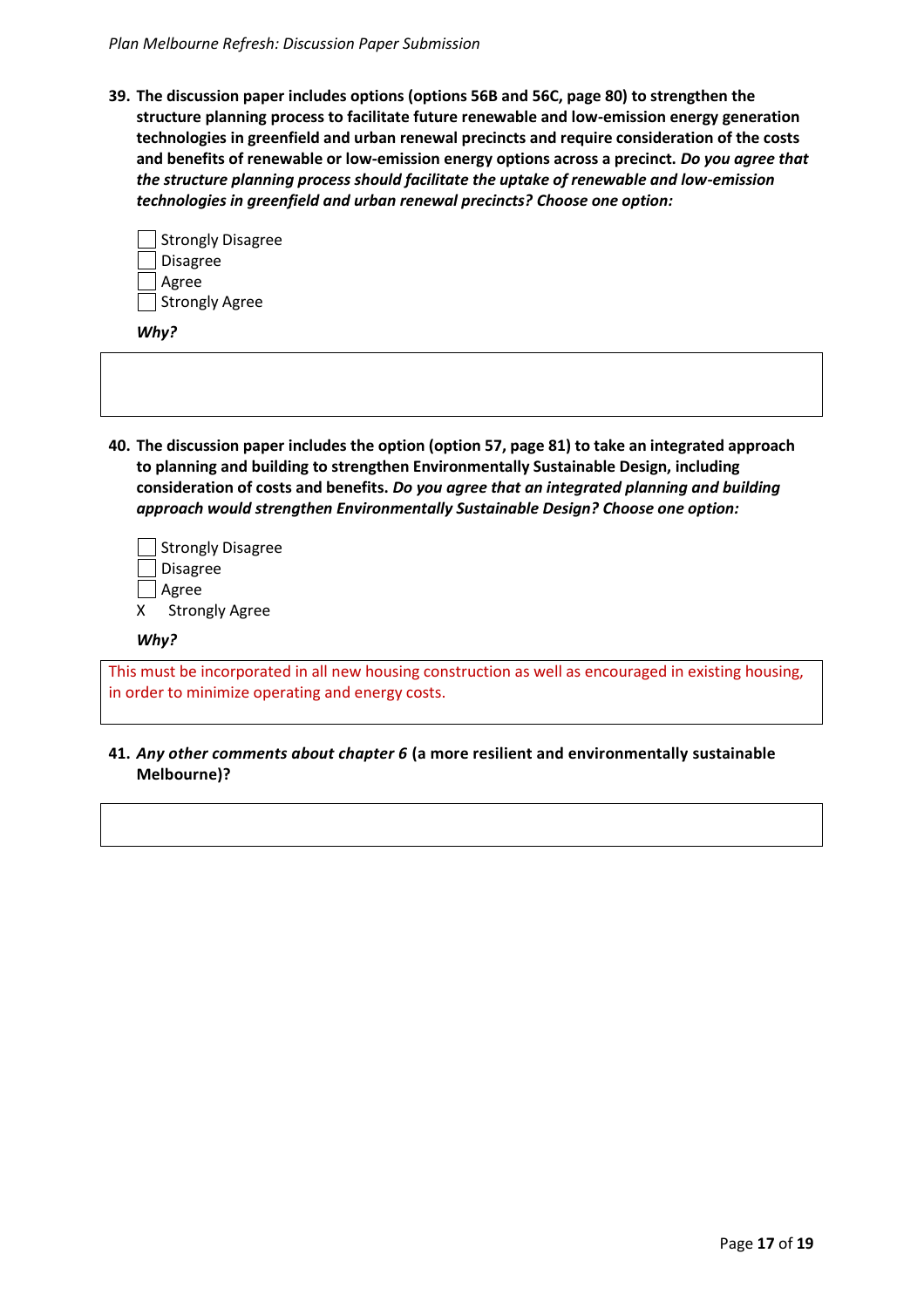**39. The discussion paper includes options (options 56B and 56C, page 80) to strengthen the structure planning process to facilitate future renewable and low-emission energy generation technologies in greenfield and urban renewal precincts and require consideration of the costs and benefits of renewable or low-emission energy options across a precinct.** *Do you agree that the structure planning process should facilitate the uptake of renewable and low-emission technologies in greenfield and urban renewal precincts? Choose one option:*

| Strongly Disagree |
|-------------------|
| <b>Disagree</b>   |
| Agree             |
| Strongly Agree    |

*Why?*

**40. The discussion paper includes the option (option 57, page 81) to take an integrated approach to planning and building to strengthen Environmentally Sustainable Design, including consideration of costs and benefits.** *Do you agree that an integrated planning and building approach would strengthen Environmentally Sustainable Design? Choose one option:*

|   | Strongly Disagree     |
|---|-----------------------|
|   | Disagree              |
|   | Agree                 |
| x | <b>Strongly Agree</b> |

#### *Why?*

This must be incorporated in all new housing construction as well as encouraged in existing housing, in order to minimize operating and energy costs.

**41.** *Any other comments about chapter 6* **(a more resilient and environmentally sustainable Melbourne)?**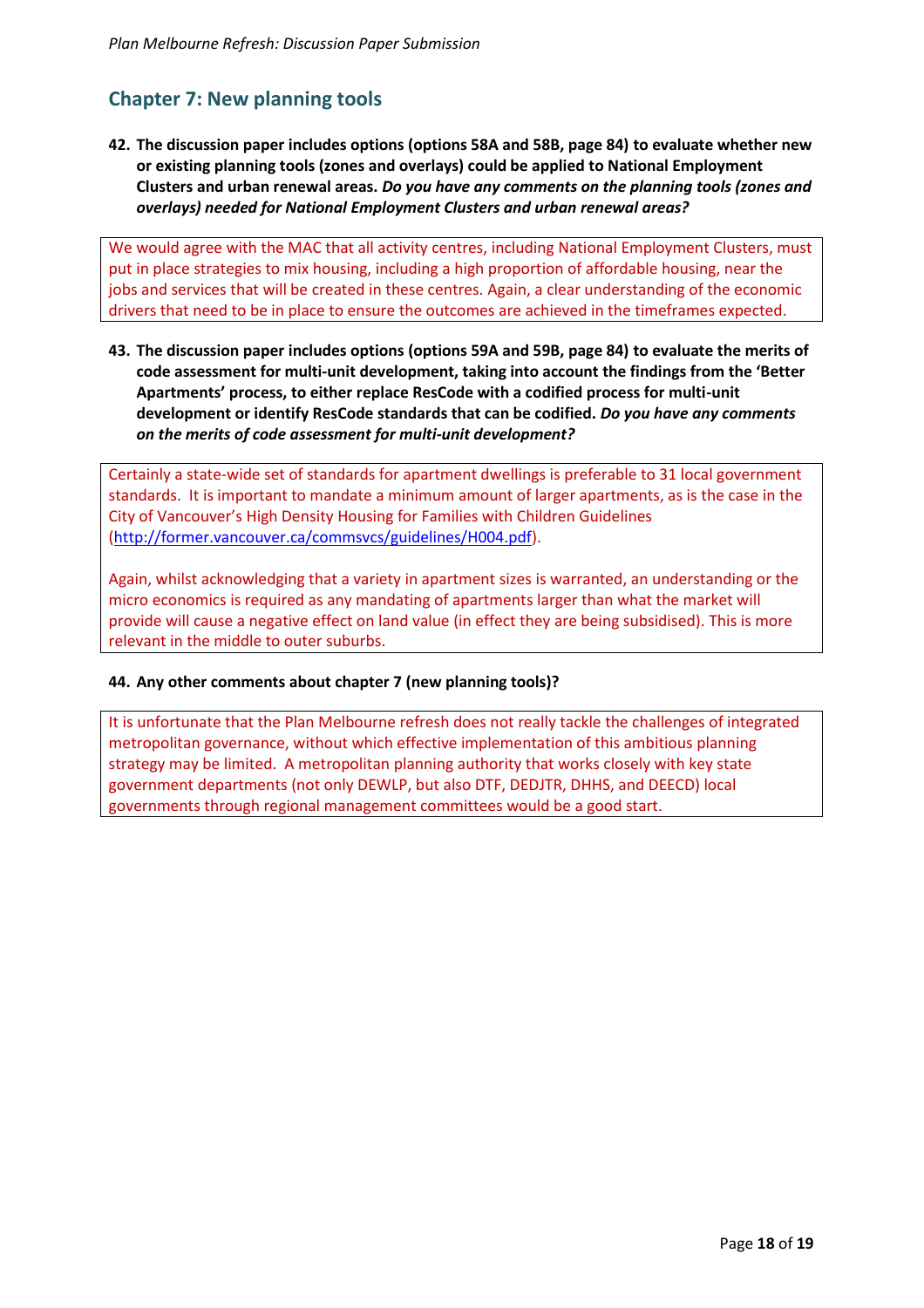# **Chapter 7: New planning tools**

**42. The discussion paper includes options (options 58A and 58B, page 84) to evaluate whether new or existing planning tools (zones and overlays) could be applied to National Employment Clusters and urban renewal areas.** *Do you have any comments on the planning tools (zones and overlays) needed for National Employment Clusters and urban renewal areas?*

We would agree with the MAC that all activity centres, including National Employment Clusters, must put in place strategies to mix housing, including a high proportion of affordable housing, near the jobs and services that will be created in these centres. Again, a clear understanding of the economic drivers that need to be in place to ensure the outcomes are achieved in the timeframes expected.

**43. The discussion paper includes options (options 59A and 59B, page 84) to evaluate the merits of code assessment for multi-unit development, taking into account the findings from the 'Better Apartments' process, to either replace ResCode with a codified process for multi-unit development or identify ResCode standards that can be codified.** *Do you have any comments on the merits of code assessment for multi-unit development?*

Certainly a state-wide set of standards for apartment dwellings is preferable to 31 local government standards. It is important to mandate a minimum amount of larger apartments, as is the case in the City of Vancouver's High Density Housing for Families with Children Guidelines [\(http://former.vancouver.ca/commsvcs/guidelines/H004.pdf\)](http://former.vancouver.ca/commsvcs/guidelines/H004.pdf).

Again, whilst acknowledging that a variety in apartment sizes is warranted, an understanding or the micro economics is required as any mandating of apartments larger than what the market will provide will cause a negative effect on land value (in effect they are being subsidised). This is more relevant in the middle to outer suburbs.

## **44. Any other comments about chapter 7 (new planning tools)?**

It is unfortunate that the Plan Melbourne refresh does not really tackle the challenges of integrated metropolitan governance, without which effective implementation of this ambitious planning strategy may be limited. A metropolitan planning authority that works closely with key state government departments (not only DEWLP, but also DTF, DEDJTR, DHHS, and DEECD) local governments through regional management committees would be a good start.